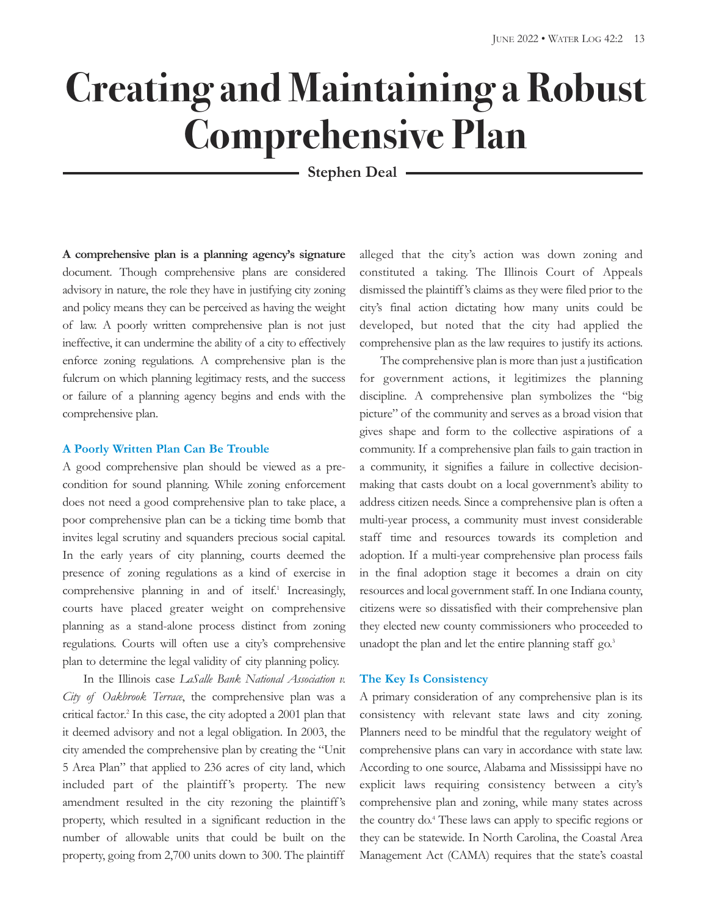# **Creating and Maintaining a Robust Comprehensive Plan**

**Stephen Deal**

**A comprehensive plan is a planning agency's signature** document. Though comprehensive plans are considered advisory in nature, the role they have in justifying city zoning and policy means they can be perceived as having the weight of law. A poorly written comprehensive plan is not just ineffective, it can undermine the ability of a city to effectively enforce zoning regulations. A comprehensive plan is the fulcrum on which planning legitimacy rests, and the success or failure of a planning agency begins and ends with the comprehensive plan.

#### **A Poorly Written Plan Can Be Trouble**

A good comprehensive plan should be viewed as a precondition for sound planning. While zoning enforcement does not need a good comprehensive plan to take place, a poor comprehensive plan can be a ticking time bomb that invites legal scrutiny and squanders precious social capital. In the early years of city planning, courts deemed the presence of zoning regulations as a kind of exercise in comprehensive planning in and of itself. <sup>1</sup> Increasingly, courts have placed greater weight on comprehensive planning as a stand-alone process distinct from zoning regulations. Courts will often use a city's comprehensive plan to determine the legal validity of city planning policy.

In the Illinois case *LaSalle Bank National Association v. City of Oakbrook Terrace*, the comprehensive plan was a critical factor. <sup>2</sup> In this case, the city adopted a 2001 plan that it deemed advisory and not a legal obligation. In 2003, the city amended the comprehensive plan by creating the "Unit 5 Area Plan" that applied to 236 acres of city land, which included part of the plaintiff's property. The new amendment resulted in the city rezoning the plaintiff's property, which resulted in a significant reduction in the number of allowable units that could be built on the property, going from 2,700 units down to 300. The plaintiff

alleged that the city's action was down zoning and constituted a taking. The Illinois Court of Appeals dismissed the plaintiff's claims as they were filed prior to the city's final action dictating how many units could be developed, but noted that the city had applied the comprehensive plan as the law requires to justify its actions.

The comprehensive plan is more than just a justification for government actions, it legitimizes the planning discipline. A comprehensive plan symbolizes the "big picture" of the community and serves as a broad vision that gives shape and form to the collective aspirations of a community. If a comprehensive plan fails to gain traction in a community, it signifies a failure in collective decisionmaking that casts doubt on a local government's ability to address citizen needs. Since a comprehensive plan is often a multi-year process, a community must invest considerable staff time and resources towards its completion and adoption. If a multi-year comprehensive plan process fails in the final adoption stage it becomes a drain on city resources and local government staff. In one Indiana county, citizens were so dissatisfied with their comprehensive plan they elected new county commissioners who proceeded to unadopt the plan and let the entire planning staff go.<sup>3</sup>

#### **The Key Is Consistency**

A primary consideration of any comprehensive plan is its consistency with relevant state laws and city zoning. Planners need to be mindful that the regulatory weight of comprehensive plans can vary in accordance with state law. According to one source, Alabama and Mississippi have no explicit laws requiring consistency between a city's comprehensive plan and zoning, while many states across the country do. <sup>4</sup> These laws can apply to specific regions or they can be statewide. In North Carolina, the Coastal Area Management Act (CAMA) requires that the state's coastal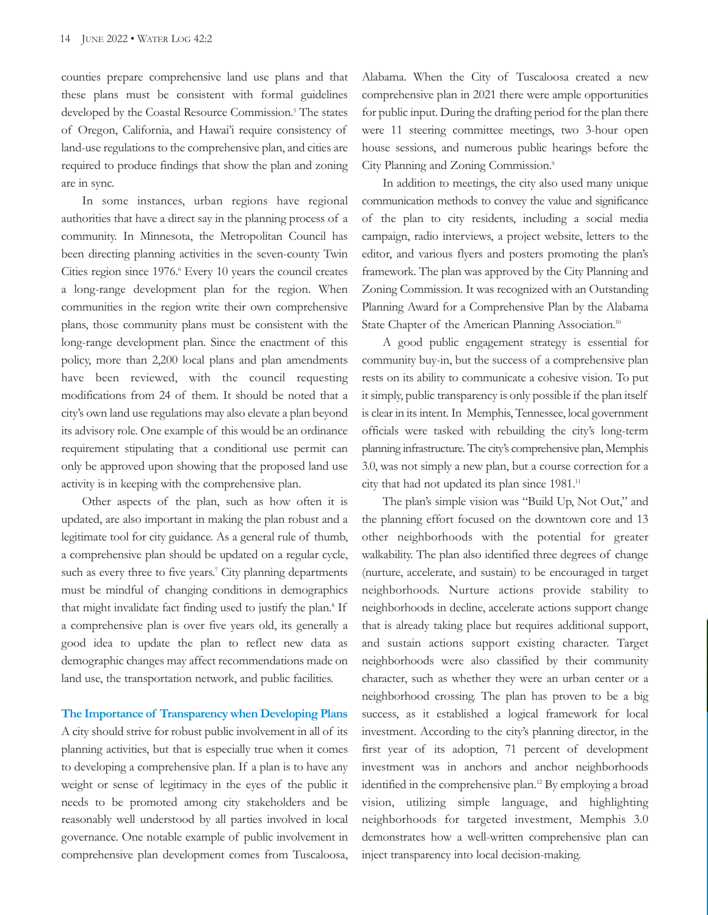counties prepare comprehensive land use plans and that these plans must be consistent with formal guidelines developed by the Coastal Resource Commission. <sup>5</sup> The states of Oregon, California, and Hawai'i require consistency of land-use regulations to the comprehensive plan, and cities are required to produce findings that show the plan and zoning are in sync.

In some instances, urban regions have regional authorities that have a direct say in the planning process of a community. In Minnesota, the Metropolitan Council has been directing planning activities in the seven-county Twin Cities region since 1976. <sup>6</sup> Every 10 years the council creates a long-range development plan for the region. When communities in the region write their own comprehensive plans, those community plans must be consistent with the long-range development plan. Since the enactment of this policy, more than 2,200 local plans and plan amendments have been reviewed, with the council requesting modifications from 24 of them. It should be noted that a city's own land use regulations may also elevate a plan beyond its advisory role. One example of this would be an ordinance requirement stipulating that a conditional use permit can only be approved upon showing that the proposed land use activity is in keeping with the comprehensive plan.

Other aspects of the plan, such as how often it is updated, are also important in making the plan robust and a legitimate tool for city guidance. As a general rule of thumb, a comprehensive plan should be updated on a regular cycle, such as every three to five years.<sup>7</sup> City planning departments must be mindful of changing conditions in demographics that might invalidate fact finding used to justify the plan. <sup>8</sup> If a comprehensive plan is over five years old, its generally a good idea to update the plan to reflect new data as demographic changes may affect recommendations made on land use, the transportation network, and public facilities.

**The Importance of Transparency when Developing Plans** A city should strive for robust public involvement in all of its planning activities, but that is especially true when it comes to developing a comprehensive plan. If a plan is to have any weight or sense of legitimacy in the eyes of the public it needs to be promoted among city stakeholders and be reasonably well understood by all parties involved in local governance. One notable example of public involvement in comprehensive plan development comes from Tuscaloosa, Alabama. When the City of Tuscaloosa created a new comprehensive plan in 2021 there were ample opportunities for public input. During the drafting period for the plan there were 11 steering committee meetings, two 3-hour open house sessions, and numerous public hearings before the City Planning and Zoning Commission. 9

In addition to meetings, the city also used many unique communication methods to convey the value and significance of the plan to city residents, including a social media campaign, radio interviews, a project website, letters to the editor, and various flyers and posters promoting the plan's framework. The plan was approved by the City Planning and Zoning Commission. It was recognized with an Outstanding Planning Award for a Comprehensive Plan by the Alabama State Chapter of the American Planning Association.<sup>10</sup>

A good public engagement strategy is essential for community buy-in, but the success of a comprehensive plan rests on its ability to communicate a cohesive vision. To put it simply, public transparency is only possible if the plan itself is clear in its intent. In Memphis, Tennessee, local government officials were tasked with rebuilding the city's long-term planning infrastructure. The city's comprehensive plan, Memphis 3.0, was not simply a new plan, but a course correction for a city that had not updated its plan since 1981.<sup>11</sup>

The plan's simple vision was "Build Up, Not Out," and the planning effort focused on the downtown core and 13 other neighborhoods with the potential for greater walkability. The plan also identified three degrees of change (nurture, accelerate, and sustain) to be encouraged in target neighborhoods. Nurture actions provide stability to neighborhoods in decline, accelerate actions support change that is already taking place but requires additional support, and sustain actions support existing character. Target neighborhoods were also classified by their community character, such as whether they were an urban center or a neighborhood crossing. The plan has proven to be a big success, as it established a logical framework for local investment. According to the city's planning director, in the first year of its adoption, 71 percent of development investment was in anchors and anchor neighborhoods identified in the comprehensive plan. <sup>12</sup> By employing a broad vision, utilizing simple language, and highlighting neighborhoods for targeted investment, Memphis 3.0 demonstrates how a well-written comprehensive plan can inject transparency into local decision-making.